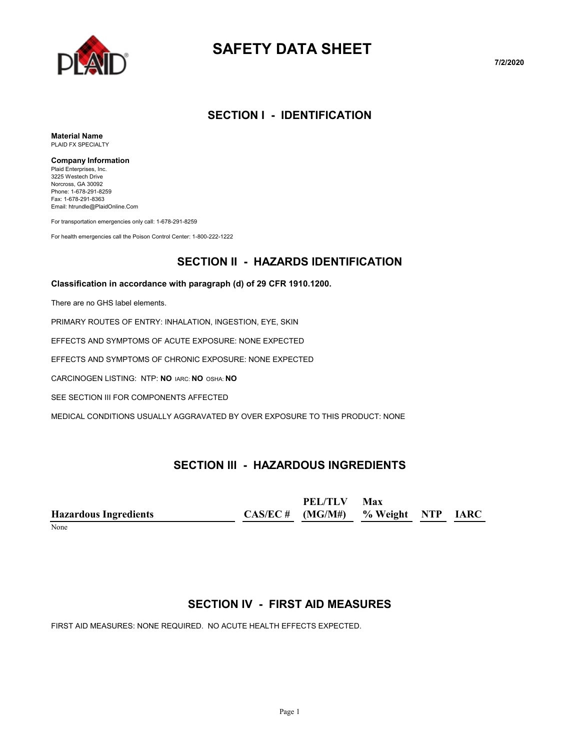

# **SAFETY DATA SHEET**

**7/2/2020**

#### **SECTION I - IDENTIFICATION**

**Material Name** PLAID FX SPECIALTY

#### **Company Information**

Plaid Enterprises, Inc. 3225 Westech Drive Norcross, GA 30092 Phone: 1-678-291-8259 Fax: 1-678-291-8363 Email: htrundle@PlaidOnline.Com

For transportation emergencies only call: 1-678-291-8259

For health emergencies call the Poison Control Center: 1-800-222-1222

### **SECTION II - HAZARDS IDENTIFICATION**

#### **Classification in accordance with paragraph (d) of 29 CFR 1910.1200.**

There are no GHS label elements.

PRIMARY ROUTES OF ENTRY: INHALATION, INGESTION, EYE, SKIN

EFFECTS AND SYMPTOMS OF ACUTE EXPOSURE: NONE EXPECTED

EFFECTS AND SYMPTOMS OF CHRONIC EXPOSURE: NONE EXPECTED

CARCINOGEN LISTING: NTP: **NO** IARC: **NO** OSHA: **NO**

SEE SECTION III FOR COMPONENTS AFFECTED

MEDICAL CONDITIONS USUALLY AGGRAVATED BY OVER EXPOSURE TO THIS PRODUCT: NONE

### **SECTION III - HAZARDOUS INGREDIENTS**

|                              | PEL/TLV                              | Max |  |
|------------------------------|--------------------------------------|-----|--|
| <b>Hazardous Ingredients</b> | $CAS/EC$ # (MG/M#) % Weight NTP IARC |     |  |
|                              |                                      |     |  |

#### None

#### **SECTION IV - FIRST AID MEASURES**

FIRST AID MEASURES: NONE REQUIRED. NO ACUTE HEALTH EFFECTS EXPECTED.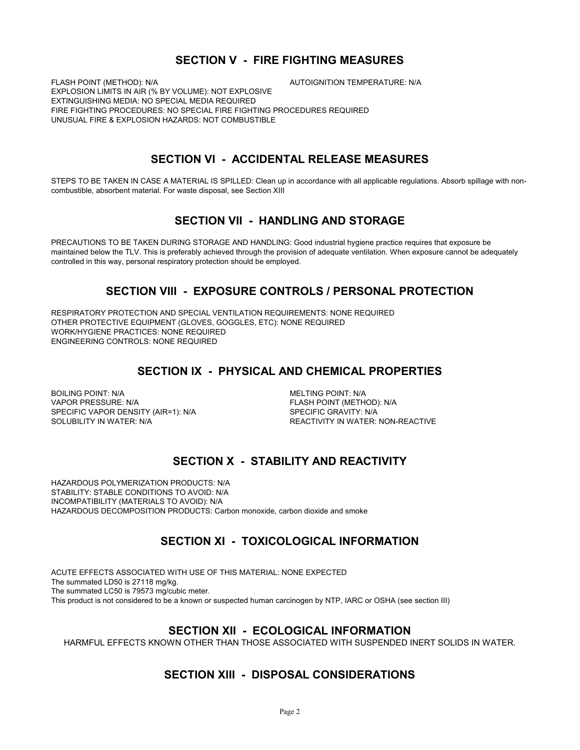#### **SECTION V - FIRE FIGHTING MEASURES**

FLASH POINT (METHOD): N/A **AUTOIGNITION TEMPERATURE: N/A** EXPLOSION LIMITS IN AIR (% BY VOLUME): NOT EXPLOSIVE EXTINGUISHING MEDIA: NO SPECIAL MEDIA REQUIRED FIRE FIGHTING PROCEDURES: NO SPECIAL FIRE FIGHTING PROCEDURES REQUIRED UNUSUAL FIRE & EXPLOSION HAZARDS: NOT COMBUSTIBLE

#### **SECTION VI - ACCIDENTAL RELEASE MEASURES**

STEPS TO BE TAKEN IN CASE A MATERIAL IS SPILLED: Clean up in accordance with all applicable regulations. Absorb spillage with noncombustible, absorbent material. For waste disposal, see Section XIII

#### **SECTION VII - HANDLING AND STORAGE**

PRECAUTIONS TO BE TAKEN DURING STORAGE AND HANDLING: Good industrial hygiene practice requires that exposure be maintained below the TLV. This is preferably achieved through the provision of adequate ventilation. When exposure cannot be adequately controlled in this way, personal respiratory protection should be employed.

#### **SECTION VIII - EXPOSURE CONTROLS / PERSONAL PROTECTION**

RESPIRATORY PROTECTION AND SPECIAL VENTILATION REQUIREMENTS: NONE REQUIRED OTHER PROTECTIVE EQUIPMENT (GLOVES, GOGGLES, ETC): NONE REQUIRED WORK/HYGIENE PRACTICES: NONE REQUIRED ENGINEERING CONTROLS: NONE REQUIRED

#### **SECTION IX - PHYSICAL AND CHEMICAL PROPERTIES**

BOILING POINT: N/A MELTING POINT: N/A VAPOR PRESSURE: N/A FLASH POINT (METHOD): N/A SPECIFIC VAPOR DENSITY (AIR=1): N/A SPECIFIC GRAVITY: N/A SOLUBILITY IN WATER:<br>SOLUBILITY IN WATER: N/A

REACTIVITY IN WATER: NON-REACTIVE

### **SECTION X - STABILITY AND REACTIVITY**

HAZARDOUS POLYMERIZATION PRODUCTS: N/A STABILITY: STABLE CONDITIONS TO AVOID: N/A INCOMPATIBILITY (MATERIALS TO AVOID): N/A HAZARDOUS DECOMPOSITION PRODUCTS: Carbon monoxide, carbon dioxide and smoke

#### **SECTION XI - TOXICOLOGICAL INFORMATION**

ACUTE EFFECTS ASSOCIATED WITH USE OF THIS MATERIAL: NONE EXPECTED The summated LD50 is 27118 mg/kg. The summated LC50 is 79573 mg/cubic meter. This product is not considered to be a known or suspected human carcinogen by NTP, IARC or OSHA (see section III)

#### **SECTION XII - ECOLOGICAL INFORMATION**

HARMFUL EFFECTS KNOWN OTHER THAN THOSE ASSOCIATED WITH SUSPENDED INERT SOLIDS IN WATER.

#### **SECTION XIII - DISPOSAL CONSIDERATIONS**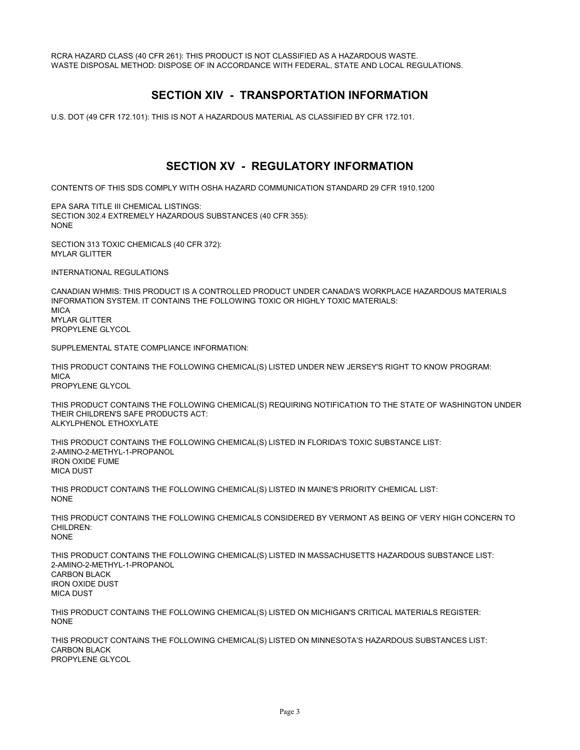RCRA HAZARD CLASS (40 CFR 261): THIS PRODUCT IS NOT CLASSIFIED AS A HAZARDOUS WASTE. WASTE DISPOSAL METHOD: DISPOSE OF IN ACCORDANCE WITH FEDERAL, STATE AND LOCAL REGULATIONS.

#### **SECTION XIV - TRANSPORTATION INFORMATION**

U.S. DOT (49 CFR 172.101): THIS IS NOT A HAZARDOUS MATERIAL AS CLASSIFIED BY CFR 172.101.

#### **SECTION XV - REGULATORY INFORMATION**

CONTENTS OF THIS SDS COMPLY WITH OSHA HAZARD COMMUNICATION STANDARD 29 CFR 1910.1200

EPA SARA TITLE III CHEMICAL LISTINGS: SECTION 302.4 EXTREMELY HAZARDOUS SUBSTANCES (40 CFR 355): NONE

SECTION 313 TOXIC CHEMICALS (40 CFR 372): MYLAR GLITTER

INTERNATIONAL REGULATIONS

CANADIAN WHMIS: THIS PRODUCT IS A CONTROLLED PRODUCT UNDER CANADA'S WORKPLACE HAZARDOUS MATERIALS INFORMATION SYSTEM. IT CONTAINS THE FOLLOWING TOXIC OR HIGHLY TOXIC MATERIALS: **MICA** MYLAR GLITTER PROPYLENE GLYCOL

SUPPLEMENTAL STATE COMPLIANCE INFORMATION:

THIS PRODUCT CONTAINS THE FOLLOWING CHEMICAL(S) LISTED UNDER NEW JERSEY'S RIGHT TO KNOW PROGRAM: **MICA** PROPYLENE GLYCOL

THIS PRODUCT CONTAINS THE FOLLOWING CHEMICAL(S) REQUIRING NOTIFICATION TO THE STATE OF WASHINGTON UNDER THEIR CHILDREN'S SAFE PRODUCTS ACT: ALKYLPHENOL ETHOXYLATE

THIS PRODUCT CONTAINS THE FOLLOWING CHEMICAL(S) LISTED IN FLORIDA'S TOXIC SUBSTANCE LIST: 2-AMINO-2-METHYL-1-PROPANOL IRON OXIDE FUME MICA DUST

THIS PRODUCT CONTAINS THE FOLLOWING CHEMICAL(S) LISTED IN MAINE'S PRIORITY CHEMICAL LIST: NONE

THIS PRODUCT CONTAINS THE FOLLOWING CHEMICALS CONSIDERED BY VERMONT AS BEING OF VERY HIGH CONCERN TO CHILDREN: NONE

THIS PRODUCT CONTAINS THE FOLLOWING CHEMICAL(S) LISTED IN MASSACHUSETTS HAZARDOUS SUBSTANCE LIST: 2-AMINO-2-METHYL-1-PROPANOL CARBON BLACK IRON OXIDE DUST MICA DUST

THIS PRODUCT CONTAINS THE FOLLOWING CHEMICAL(S) LISTED ON MICHIGAN'S CRITICAL MATERIALS REGISTER: NONE

THIS PRODUCT CONTAINS THE FOLLOWING CHEMICAL(S) LISTED ON MINNESOTA'S HAZARDOUS SUBSTANCES LIST: CARBON BLACK PROPYLENE GLYCOL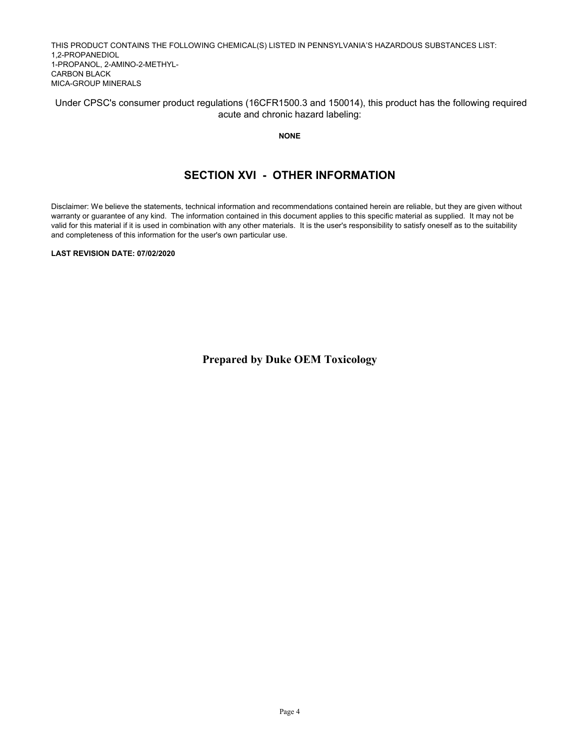THIS PRODUCT CONTAINS THE FOLLOWING CHEMICAL(S) LISTED IN PENNSYLVANIA'S HAZARDOUS SUBSTANCES LIST: 1,2-PROPANEDIOL 1-PROPANOL, 2-AMINO-2-METHYL-CARBON BLACK MICA-GROUP MINERALS

 Under CPSC's consumer product regulations (16CFR1500.3 and 150014), this product has the following required acute and chronic hazard labeling:

**NONE**

#### **SECTION XVI - OTHER INFORMATION**

Disclaimer: We believe the statements, technical information and recommendations contained herein are reliable, but they are given without warranty or guarantee of any kind. The information contained in this document applies to this specific material as supplied. It may not be valid for this material if it is used in combination with any other materials. It is the user's responsibility to satisfy oneself as to the suitability and completeness of this information for the user's own particular use.

**LAST REVISION DATE: 07/02/2020**

**Prepared by Duke OEM Toxicology**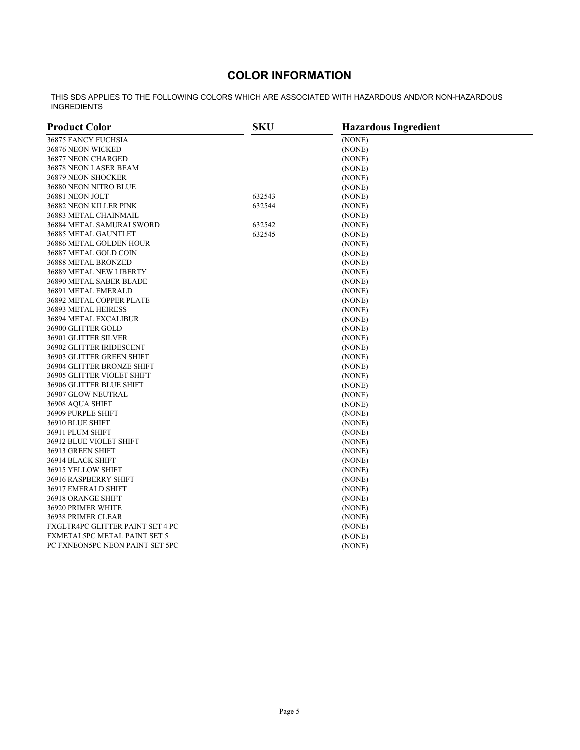## **COLOR INFORMATION**

THIS SDS APPLIES TO THE FOLLOWING COLORS WHICH ARE ASSOCIATED WITH HAZARDOUS AND/OR NON-HAZARDOUS INGREDIENTS

| <b>Product Color</b>             | <b>SKU</b> | <b>Hazardous Ingredient</b> |  |
|----------------------------------|------------|-----------------------------|--|
| 36875 FANCY FUCHSIA              |            | (NONE)                      |  |
| 36876 NEON WICKED                |            | (NONE)                      |  |
| 36877 NEON CHARGED               |            | (NONE)                      |  |
| 36878 NEON LASER BEAM            |            | (NONE)                      |  |
| 36879 NEON SHOCKER               |            | (NONE)                      |  |
| 36880 NEON NITRO BLUE            |            | (NONE)                      |  |
| 36881 NEON JOLT                  | 632543     | (NONE)                      |  |
| 36882 NEON KILLER PINK           | 632544     | (NONE)                      |  |
| 36883 METAL CHAINMAIL            |            | (NONE)                      |  |
| 36884 METAL SAMURAI SWORD        | 632542     | (NONE)                      |  |
| 36885 METAL GAUNTLET             | 632545     | (NONE)                      |  |
| 36886 METAL GOLDEN HOUR          |            | (NONE)                      |  |
| 36887 METAL GOLD COIN            |            | (NONE)                      |  |
| 36888 METAL BRONZED              |            | (NONE)                      |  |
| 36889 METAL NEW LIBERTY          |            | (NONE)                      |  |
| 36890 METAL SABER BLADE          |            | (NONE)                      |  |
| 36891 METAL EMERALD              |            | (NONE)                      |  |
| 36892 METAL COPPER PLATE         |            | (NONE)                      |  |
| 36893 METAL HEIRESS              |            | (NONE)                      |  |
| 36894 METAL EXCALIBUR            |            | (NONE)                      |  |
| 36900 GLITTER GOLD               |            | (NONE)                      |  |
| 36901 GLITTER SILVER             |            | (NONE)                      |  |
| 36902 GLITTER IRIDESCENT         |            | (NONE)                      |  |
| 36903 GLITTER GREEN SHIFT        |            | (NONE)                      |  |
| 36904 GLITTER BRONZE SHIFT       |            | (NONE)                      |  |
| 36905 GLITTER VIOLET SHIFT       |            | (NONE)                      |  |
| 36906 GLITTER BLUE SHIFT         |            | (NONE)                      |  |
| 36907 GLOW NEUTRAL               |            | (NONE)                      |  |
| 36908 AQUA SHIFT                 |            | (NONE)                      |  |
| 36909 PURPLE SHIFT               |            | (NONE)                      |  |
| 36910 BLUE SHIFT                 |            | (NONE)                      |  |
| 36911 PLUM SHIFT                 |            | (NONE)                      |  |
| 36912 BLUE VIOLET SHIFT          |            | (NONE)                      |  |
| 36913 GREEN SHIFT                |            | (NONE)                      |  |
| 36914 BLACK SHIFT                |            | (NONE)                      |  |
| 36915 YELLOW SHIFT               |            | (NONE)                      |  |
| 36916 RASPBERRY SHIFT            |            | (NONE)                      |  |
| 36917 EMERALD SHIFT              |            | (NONE)                      |  |
| 36918 ORANGE SHIFT               |            | (NONE)                      |  |
| 36920 PRIMER WHITE               |            | (NONE)                      |  |
| 36938 PRIMER CLEAR               |            | (NONE)                      |  |
| FXGLTR4PC GLITTER PAINT SET 4 PC |            | (NONE)                      |  |
| FXMETAL5PC METAL PAINT SET 5     |            | (NONE)                      |  |
| PC FXNEON5PC NEON PAINT SET 5PC  |            | (NONE)                      |  |
|                                  |            |                             |  |